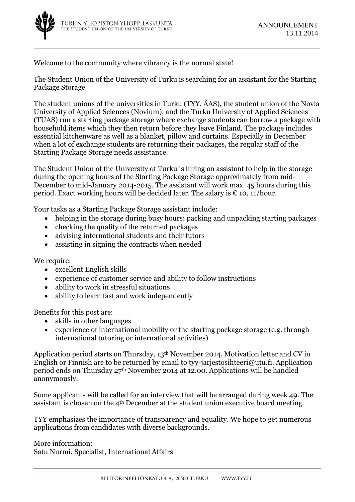Welcome to the community where vibrancy is the normal state!

The Student Union of the University of Turku is searching for an assistant for the Starting Package Storage

The student unions of the universities in Turku (TYY, ÅAS), the student union of the Novia University of Applied Sciences (Novium), and the Turku University of Applied Sciences (TUAS) run a starting package storage where exchange students can borrow a package with household items which they then return before they leave Finland. The package includes essential kitchenware as well as a blanket, pillow and curtains. Especially in December when a lot of exchange students are returning their packages, the regular staff of the Starting Package Storage needs assistance.

The Student Union of the University of Turku is hiring an assistant to help in the storage during the opening hours of the Starting Package Storage approximately from mid-December to mid-January 2014-2015. The assistant will work max. 45 hours during this period. Exact working hours will be decided later. The salary is  $\epsilon$  10, 11/hour.

Your tasks as a Starting Package Storage assistant include:

- helping in the storage during busy hours: packing and unpacking starting packages
- checking the quality of the returned packages
- advising international students and their tutors
- assisting in signing the contracts when needed

We require:

- excellent English skills
- experience of customer service and ability to follow instructions
- ability to work in stressful situations
- ability to learn fast and work independently

Benefits for this post are:

- skills in other languages
- experience of international mobility or the starting package storage (e.g. through international tutoring or international activities)

Application period starts on Thursday, 13th November 2014. Motivation letter and CV in English or Finnish are to be returned by email to ty-jarjestosihteeri@utu.fi. Application period ends on Thursday 27th November 2014 at 12.00. Applications will be handled anonymously.

Some applicants will be called for an interview that will be arranged during week 49. The assistant is chosen on the 4th December at the student union executive board meeting.

TYY emphasizes the importance of transparency and equality. We hope to get numerous applications from candidates with diverse backgrounds.

More information: Satu Nurmi, Specialist, International Affairs